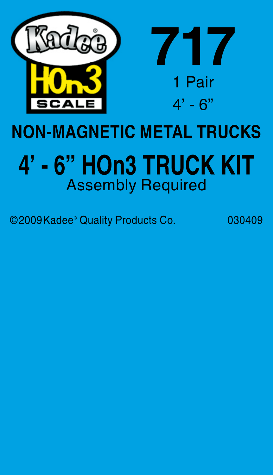

## **NON-MAGNETIC METAL TRUCKS**

## **4' - 6" Hon3 Truck Kit** Assembly Required

©2009Kadee® Quality Products Co. 030409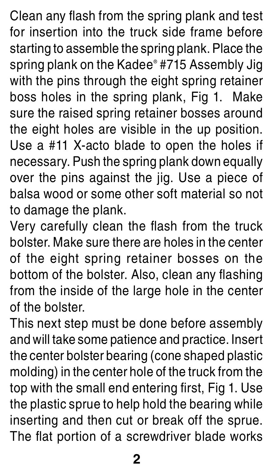Clean any flash from the spring plank and test for insertion into the truck side frame before starting to assemble the spring plank. Place the spring plank on the Kadee® #715 Assembly Jig with the pins through the eight spring retainer boss holes in the spring plank, Fig 1. Make sure the raised spring retainer bosses around the eight holes are visible in the up position. Use a #11 X-acto blade to open the holes if necessary. Push the spring plank down equally over the pins against the jig. Use a piece of balsa wood or some other soft material so not to damage the plank.

Very carefully clean the flash from the truck bolster. Make sure there are holes in the center of the eight spring retainer bosses on the bottom of the bolster. Also, clean any flashing from the inside of the large hole in the center of the bolster.

This next step must be done before assembly and will take some patience and practice. Insert the center bolster bearing (cone shaped plastic molding) in the center hole of the truck from the top with the small end entering first, Fig 1. Use the plastic sprue to help hold the bearing while inserting and then cut or break off the sprue. The flat portion of a screwdriver blade works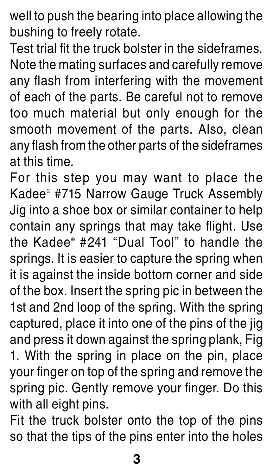well to push the bearing into place allowing the bushing to freely rotate.

Test trial fit the truck bolster in the sideframes. Note the mating surfaces and carefully remove any flash from interfering with the movement of each of the parts. Be careful not to remove too much material but only enough for the smooth movement of the parts. Also, clean any flash from the other parts of the sideframes at this time.

For this step you may want to place the Kadee® #715 Narrow Gauge Truck Assembly Jig into a shoe box or similar container to help contain any springs that may take flight. Use the Kadee® #241 "Dual Tool" to handle the springs. It is easier to capture the spring when it is against the inside bottom corner and side of the box. Insert the spring pic in between the 1st and 2nd loop of the spring. With the spring captured, place it into one of the pins of the jig and press it down against the spring plank, Fig 1. With the spring in place on the pin, place your finger on top of the spring and remove the spring pic. Gently remove your finger. Do this with all eight pins.

Fit the truck bolster onto the top of the pins so that the tips of the pins enter into the holes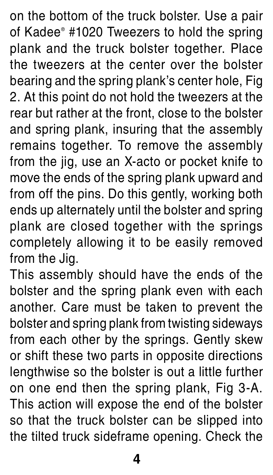on the bottom of the truck bolster. Use a pair of Kadee® #1020 Tweezers to hold the spring plank and the truck bolster together. Place the tweezers at the center over the bolster bearing and the spring plank's center hole, Fig 2. At this point do not hold the tweezers at the rear but rather at the front, close to the bolster and spring plank, insuring that the assembly remains together. To remove the assembly from the jig, use an X-acto or pocket knife to move the ends of the spring plank upward and from off the pins. Do this gently, working both ends up alternately until the bolster and spring plank are closed together with the springs completely allowing it to be easily removed from the Jig.

This assembly should have the ends of the bolster and the spring plank even with each another. Care must be taken to prevent the bolster and spring plank from twisting sideways from each other by the springs. Gently skew or shift these two parts in opposite directions lengthwise so the bolster is out a little further on one end then the spring plank, Fig 3-A. This action will expose the end of the bolster so that the truck bolster can be slipped into the tilted truck sideframe opening. Check the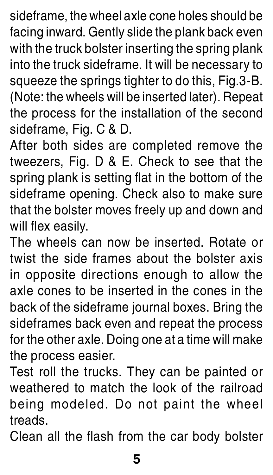sideframe, the wheel axle cone holes should be facing inward. Gently slide the plank back even with the truck bolster inserting the spring plank into the truck sideframe. It will be necessary to squeeze the springs tighter to do this, Fig.3-B. (Note: the wheels will be inserted later). Repeat the process for the installation of the second sideframe, Fig. C & D.

After both sides are completed remove the tweezers, Fig. D & E. Check to see that the spring plank is setting flat in the bottom of the sideframe opening. Check also to make sure that the bolster moves freely up and down and will flex easily.

The wheels can now be inserted. Rotate or twist the side frames about the bolster axis in opposite directions enough to allow the axle cones to be inserted in the cones in the back of the sideframe journal boxes. Bring the sideframes back even and repeat the process for the other axle. Doing one at a time will make the process easier.

Test roll the trucks. They can be painted or weathered to match the look of the railroad being modeled. Do not paint the wheel treads.

Clean all the flash from the car body bolster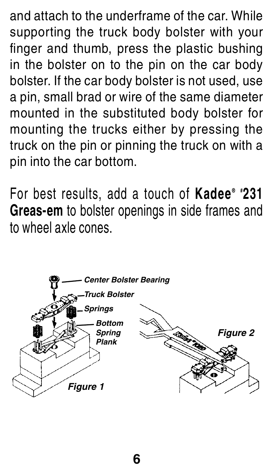and attach to the underframe of the car. While supporting the truck body bolster with your finger and thumb, press the plastic bushing in the bolster on to the pin on the car body bolster. If the car body bolster is not used, use a pin, small brad or wire of the same diameter mounted in the substituted body bolster for mounting the trucks either by pressing the truck on the pin or pinning the truck on with a pin into the car bottom.

For best results, add a touch of **Kadee ® # 231 Greas-em** to bolster openings in side frames and to wheel axle cones.



**6**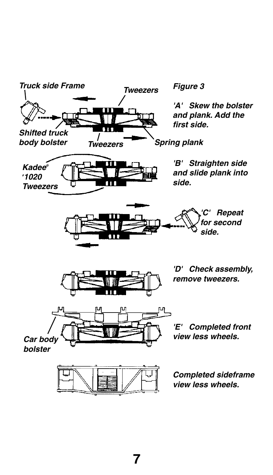